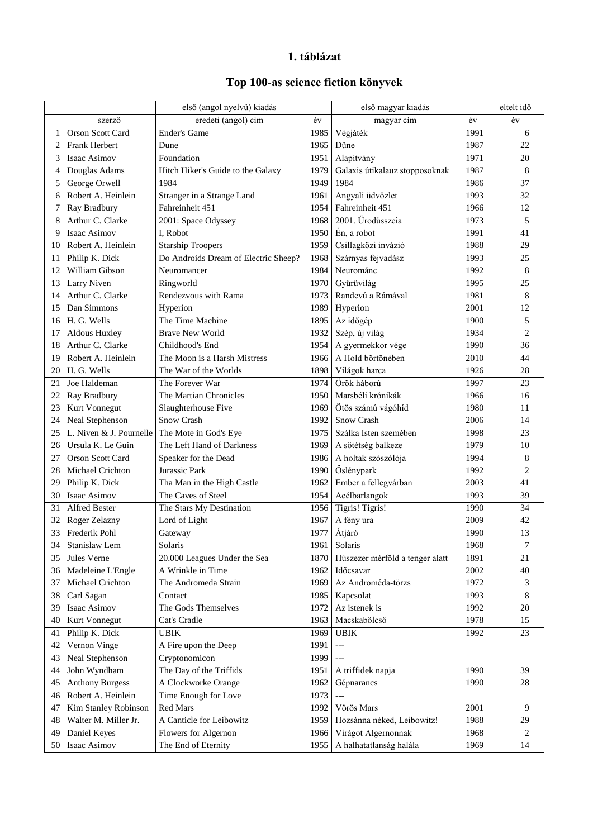## **1. táblázat**

## **Top 100-as science fiction könyvek**

|      |                         | első (angol nyelvű) kiadás           |      | első magyar kiadás              |      | eltelt idő      |
|------|-------------------------|--------------------------------------|------|---------------------------------|------|-----------------|
|      | szerző                  | eredeti (angol) cím                  | év   | magyar cím                      | év   | év              |
| 1    | Orson Scott Card        | Ender's Game                         | 1985 | Végjáték                        | 1991 | 6               |
| 2    | Frank Herbert           | Dune                                 | 1965 | Dűne                            | 1987 | 22              |
| 3    | Isaac Asimov            | Foundation                           | 1951 | Alapítvány                      | 1971 | 20              |
| 4    | Douglas Adams           | Hitch Hiker's Guide to the Galaxy    | 1979 | Galaxis útikalauz stopposoknak  | 1987 | 8               |
| 5    | George Orwell           | 1984                                 | 1949 | 1984                            | 1986 | 37              |
| 6    | Robert A. Heinlein      | Stranger in a Strange Land           | 1961 | Angyali üdvözlet                | 1993 | 32              |
| 7    | Ray Bradbury            | Fahreinheit 451                      | 1954 | Fahreinheit 451                 | 1966 | 12              |
| 8    | Arthur C. Clarke        | 2001: Space Odyssey                  | 1968 | 2001. Űrodüsszeia               | 1973 | 5               |
| 9    | Isaac Asimov            | I, Robot                             | 1950 | Én, a robot                     | 1991 | 41              |
| 10   | Robert A. Heinlein      | <b>Starship Troopers</b>             | 1959 | Csillagközi invázió             | 1988 | 29              |
| 11   | Philip K. Dick          | Do Androids Dream of Electric Sheep? | 1968 | Szárnyas fejvadász              | 1993 | 25              |
| 12   | William Gibson          | Neuromancer                          | 1984 | Neurománc                       | 1992 | 8               |
| 13   | Larry Niven             | Ringworld                            | 1970 | Gyűrűvilág                      | 1995 | 25              |
| 14   | Arthur C. Clarke        | Rendezvous with Rama                 | 1973 | Randevú a Rámával               | 1981 | 8               |
| 15   | Dan Simmons             | Hyperion                             | 1989 | Hyperion                        | 2001 | 12              |
| 16   | H. G. Wells             | The Time Machine                     | 1895 | Az időgép                       | 1900 | 5               |
| 17   | Aldous Huxley           | <b>Brave New World</b>               | 1932 | Szép, új világ                  | 1934 | $\overline{c}$  |
| 18   | Arthur C. Clarke        | Childhood's End                      | 1954 | A gyermekkor vége               | 1990 | 36              |
| 19   | Robert A. Heinlein      | The Moon is a Harsh Mistress         | 1966 | A Hold börtönében               | 2010 | 44              |
|      | 20 H. G. Wells          | The War of the Worlds                | 1898 | Világok harca                   | 1926 | 28              |
| 21   | Joe Haldeman            | The Forever War                      | 1974 | Örök háború                     | 1997 | 23              |
| 22   | Ray Bradbury            | The Martian Chronicles               | 1950 | Marsbéli krónikák               | 1966 | 16              |
| 23   | Kurt Vonnegut           | Slaughterhouse Five                  | 1969 | Ötös számú vágóhíd              | 1980 | 11              |
| 24   | Neal Stephenson         | Snow Crash                           | 1992 | Snow Crash                      | 2006 | 14              |
| 25   | L. Niven & J. Pournelle | The Mote in God's Eye                | 1975 | Szálka Isten szemében           | 1998 | 23              |
| 26   | Ursula K. Le Guin       | The Left Hand of Darkness            | 1969 | A sötétség balkeze              | 1979 | 10              |
| 27   | Orson Scott Card        | Speaker for the Dead                 | 1986 | A holtak szószólója             | 1994 | 8               |
| 28   | Michael Crichton        | Jurassic Park                        | 1990 | Öslénypark                      | 1992 | 2               |
| 29   | Philip K. Dick          | Tha Man in the High Castle           | 1962 | Ember a fellegvárban            | 2003 | 41              |
| 30 I | Isaac Asimov            | The Caves of Steel                   | 1954 | Acélbarlangok                   | 1993 | 39              |
| 31   | Alfred Bester           | The Stars My Destination             | 1956 | Tigris! Tigris!                 | 1990 | $\overline{34}$ |
| 32   | Roger Zelazny           | Lord of Light                        | 1967 | A fény ura                      | 2009 | 42              |
| 33   | Frederik Pohl           | Gateway                              | 1977 | Átjáró                          | 1990 | 13              |
| 34   | Stanislaw Lem           | Solaris                              | 1961 | Solaris                         | 1968 | 7               |
| 35   | Jules Verne             | 20.000 Leagues Under the Sea         | 1870 | Húszezer mérföld a tenger alatt | 1891 | 21              |
| 36   | Madeleine L'Engle       | A Wrinkle in Time                    | 1962 | Időcsavar                       | 2002 | 40              |
| 37   | Michael Crichton        | The Andromeda Strain                 | 1969 | Az Androméda-törzs              | 1972 | 3               |
| 38   | Carl Sagan              | Contact                              | 1985 | Kapcsolat                       | 1993 | 8               |
| 39   | Isaac Asimov            | The Gods Themselves                  | 1972 | Az istenek is                   | 1992 | $20\,$          |
| 40   | Kurt Vonnegut           | Cat's Cradle                         | 1963 | Macskabölcső                    | 1978 | 15              |
| 41   | Philip K. Dick          | <b>UBIK</b>                          | 1969 | <b>UBIK</b>                     | 1992 | 23              |
| 42   | Vernon Vinge            | A Fire upon the Deep                 | 1991 | $---$                           |      |                 |
| 43   | Neal Stephenson         | Cryptonomicon                        | 1999 | $---$                           |      |                 |
| 44   | John Wyndham            | The Day of the Triffids              | 1951 | A triffidek napja               | 1990 | 39              |
| 45   | <b>Anthony Burgess</b>  | A Clockworke Orange                  | 1962 | Gépnarancs                      | 1990 | $28\,$          |
| 46   | Robert A. Heinlein      | Time Enough for Love                 | 1973 | $\overline{a}$                  |      |                 |
| 47   | Kim Stanley Robinson    | Red Mars                             | 1992 | Vörös Mars                      | 2001 | 9               |
|      | Walter M. Miller Jr.    | A Canticle for Leibowitz             |      |                                 | 1988 |                 |
| 48   |                         |                                      | 1959 | Hozsánna néked, Leibowitz!      |      | 29<br>2         |
| 49   | Daniel Keyes            | Flowers for Algernon                 | 1966 | Virágot Algernonnak             | 1968 |                 |
| 50   | Isaac Asimov            | The End of Eternity                  | 1955 | A halhatatlanság halála         | 1969 | 14              |